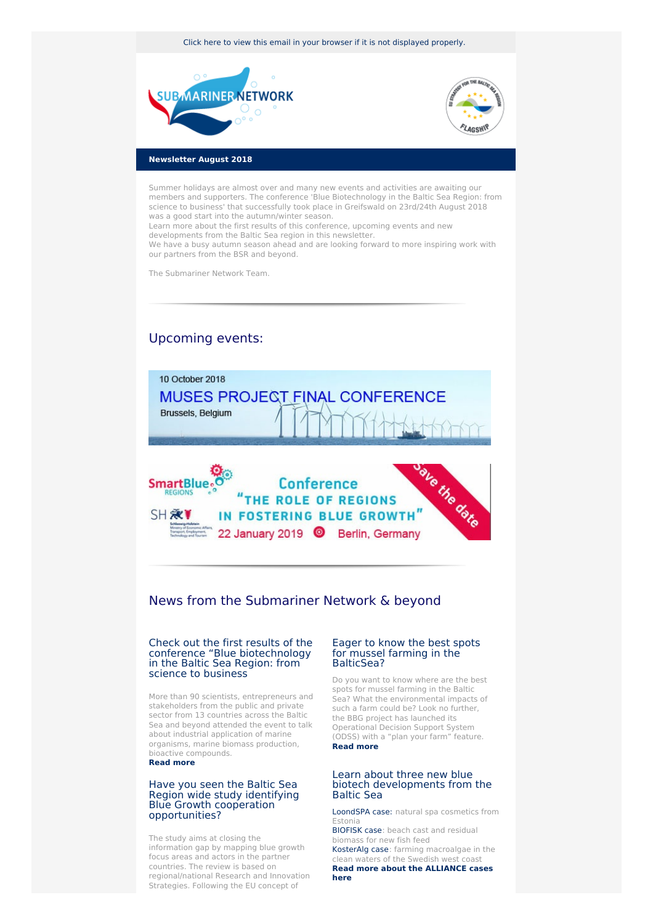Click here to view this email in your browser if it is not [displayed](http://www.newsletter-webversion.de/testmail/) properly.





## **Newsletter August 2018**

Summer holidays are almost over and many new events and activities are awaiting our members and supporters. The conference 'Blue Biotechnology in the Baltic Sea Region: from science to business' that successfully took place in Greifswald on 23rd/24th August 2018 was a good start into the autumn/winter season.

Learn more about the first results of this conference, upcoming events and new developments from the Baltic Sea region in this newsletter.

We have a busy autumn season ahead and are looking forward to more inspiring work with our partners from the BSR and beyond.

The Submariner Network Team.

# Upcoming events:



# News from the Submariner Network & beyond

#### Check out the first results of the conference "Blue [biotechnology](https://www.submariner-network.eu/news/general-news/371-a-follow-up-on-the-conference-blue-biotechnology-in-the-baltic-sea-region-from-science-to-business) in the Baltic Sea Region: from science to business

More than 90 scientists, entrepreneurs and stakeholders from the public and private sector from 13 countries across the Baltic Sea and beyond attended the event to talk about industrial application of marine organisms, marine biomass production, bioactive compounds. **[Read](https://www.submariner-network.eu/news/general-news/371-a-follow-up-on-the-conference-blue-biotechnology-in-the-baltic-sea-region-from-science-to-business) more**

### Have you seen the Baltic Sea Region wide study identifying Blue Growth cooperation [opportunities?](https://www.submariner-network.eu/projects/smartblueregions/smart-blue-regions-news/349-the-baltic-sea-region-wide-study-identifying-blue-growth-cooperation-opportunities-is-now-available)

The study aims at closing the information gap by mapping blue growth focus areas and actors in the partner countries. The review is based on regional/national Research and Innovation Strategies. Following the EU concept of

#### Eager to know the best spots for mussel farming in the [BalticSea?](https://www.submariner-network.eu/projects/balticbluegrowth/baltic-blue-growth-news/369-plan-your-own-mussel-farm-in-the-baltic-sea)

Do you want to know where are the best spots for mussel farming in the Baltic Sea? What the environmental impacts of such a farm could be? Look no further, the BBG project has launched its Operational Decision Support System (ODSS) with a "plan your farm" feature. **Read [more](https://www.submariner-network.eu/projects/balticbluegrowth/baltic-blue-growth-news/369-plan-your-own-mussel-farm-in-the-baltic-sea)**

### Learn about three new blue biotech [developments](https://www.submariner-network.eu/projects/balticbluebioalliance/alliance-cases) from the Baltic Sea

[LoondSPA](https://www.submariner-network.eu/projects/balticbluebioalliance/alliance-cases/loondspa-natural-spa-cosmetics-from-estonia) case: natural spa cosmetics from Estonia

[BIOFISK](https://www.submariner-network.eu/projects/balticbluebioalliance/alliance-cases/biofisk) case: beach cast and residual biomass for new fish feed [KosterAlg](https://www.submariner-network.eu/projects/balticbluebioalliance/alliance-cases/kosteralg-farming-macroalgae-in-the-clean-waters-of-the-swedish-west-coast) case: farming macroalgae in the clean waters of the Swedish west coast

**Read more about the [ALLIANCE](https://www.submariner-network.eu/projects/balticbluebioalliance/alliance-cases) cases here**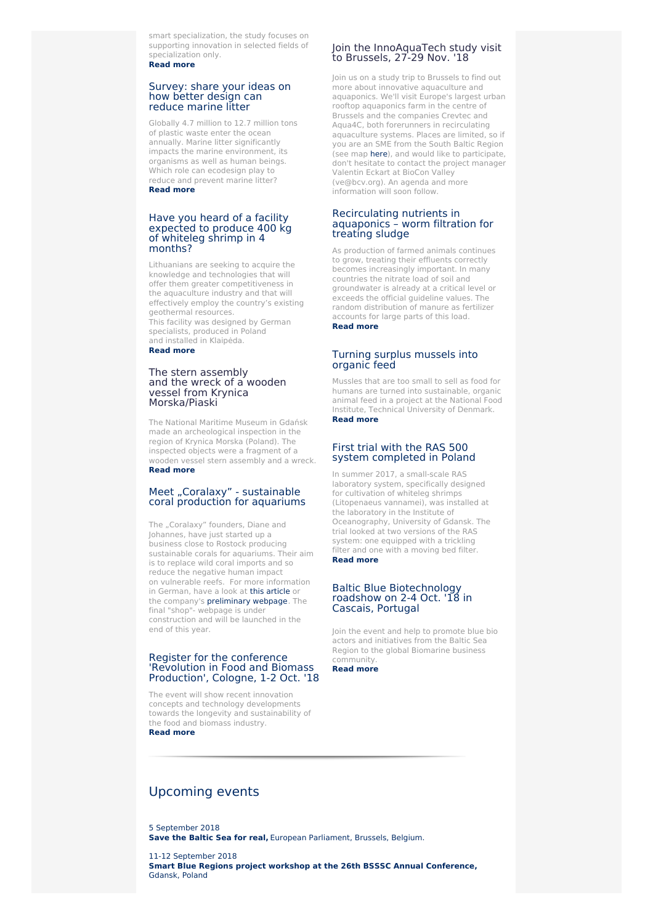smart specialization, the study focuses on supporting innovation in selected fields of specialization only. **[Read](https://www.submariner-network.eu/projects/smartblueregions/smart-blue-regions-news/349-the-baltic-sea-region-wide-study-identifying-blue-growth-cooperation-opportunities-is-now-available) more**

#### [Survey:](https://www.submariner-network.eu/news/general-news/368-survey-can-better-design-reduce-marine-litter) share your ideas on how better design can reduce marine litter

Globally 4.7 million to 12.7 million tons of plastic waste enter the ocean annually. Marine litter significantly impacts the marine environment, its organisms as well as human beings. Which role can ecodesign play to reduce and prevent marine litter? **[Read](https://www.submariner-network.eu/news/general-news/368-survey-can-better-design-reduce-marine-litter) more**

#### Have you heard of a facility [expected](https://www.submariner-network.eu/projects/innoaquatech/innoaquatech-news/361-experimental-shrimp-cultivation-established-in-klaipeda) to produce 400 kg of whiteleg shrimp in 4 months?

Lithuanians are seeking to acquire the knowledge and technologies that will offer them greater competitiveness in the aquaculture industry and that will effectively employ the country's existing geothermal resources. This facility was designed by German

specialists, produced in Poland and installed in Klaipėda. **[Read](https://www.submariner-network.eu/projects/innoaquatech/innoaquatech-news/361-experimental-shrimp-cultivation-established-in-klaipeda) more**

#### The stern assembly and the wreck of a wooden vessel from Krynica [Morska/Piaski](https://www.submariner-network.eu/projects/balticrim/balticrim-news-2/364-the-stern-assembly-and-the-wreck-of-a-wooden-vessel-from-krynica-morska-piaski)

The National Maritime Museum in Gdańsk made an archeological inspection in the region of Krynica Morska (Poland). The inspected objects were a fragment of a wooden vessel stern assembly and a wreck. **[Read](https://www.submariner-network.eu/projects/balticrim/balticrim-news-2/364-the-stern-assembly-and-the-wreck-of-a-wooden-vessel-from-krynica-morska-piaski) more**

# Meet "Coralaxy" - [sustainable](https://www.coralaxy.de/about-us/) coral production for aquariums

The "Coralaxy" founders, Diane and Johannes, have just started up a business close to Rostock producing sustainable corals for aquariums. Their aim is to replace wild coral imports and so reduce the negative human impact on vulnerable reefs. For more information in German, have a look at this [article](http://www.ostsee-zeitung.de/Mecklenburg/Rostock/Gefragt-Korallen-von-der-Kueste) or the company's [preliminary](https://www.coralaxy.de/about-us/) webpage. The final "shop"- webpage is under construction and will be launched in the end of this year.

#### Register for the [conference](https://www.submariner-network.eu/events/142-revolution-in-food-and-biomass-production-refab ) 'Revolution in Food and Biomass Production', Cologne, 1-2 Oct. '18

The event will show recent innovation concepts and technology developments towards the longevity and sustainability of the food and biomass industry. **[Read](https://www.submariner-network.eu/events/142-revolution-in-food-and-biomass-production-refab ) more**

## Join the InnoAquaTech study visit to Brussels, 27-29 Nov. '18

Join us on a study trip to Brussels to find out more about innovative aquaculture and aquaponics. We'll visit Europe's largest urban rooftop aquaponics farm in the centre of Brussels and the companies Crevtec and Aqua4C, both forerunners in recirculating aquaculture systems. Places are limited, so if you are an SME from the South Baltic Region (see map [here](https://southbaltic.eu/eligible-area)), and would like to participate, don't hesitate to contact the project manager Valentin Eckart at BioCon Valley (ve@bcv.org). An agenda and more information will soon follow.

#### [Recirculating](https://www.submariner-network.eu/projects/innoaquatech/innoaquatech-news/362-recirculating-nutrients-in-aquaponics-worm-filtration-for-treating-sludge) nutrients in aquaponics – worm filtration for treating sludge

As production of farmed animals continues to grow, treating their effluents correctly becomes increasingly important. In many countries the nitrate load of soil and groundwater is already at a critical level or exceeds the official guideline values. The random distribution of manure as fertilizer accounts for large parts of this load. **Read [more](https://www.submariner-network.eu/projects/innoaquatech/innoaquatech-news/362-recirculating-nutrients-in-aquaponics-worm-filtration-for-treating-sludge)**

# Turning surplus [mussels](http://www.food.dtu.dk/english/news/nyhed?id=CCCF2E94-F359-4A8B-BEFA-EE132C85B593) into organic feed

Mussles that are too small to sell as food for humans are turned into sustainable, organic animal feed in a project at the National Food Institute, Technical University of Denmark. **Read [more](http://www.food.dtu.dk/english/news/nyhed?id=CCCF2E94-F359-4A8B-BEFA-EE132C85B593)**

# First trial with the RAS 500 system [completed](https://www.submariner-network.eu/projects/innoaquatech/innoaquatech-news/365-first-trial-with-ras-500-system-completed) in Poland

In summer 2017, a small-scale RAS laboratory system, specifically designed for cultivation of whiteleg shrimps (Litopenaeus vannamei), was installed at the laboratory in the Institute of Oceanography, University of Gdansk. The trial looked at two versions of the RAS system: one equipped with a trickling filter and one with a moving bed filter. **Read [more](https://www.submariner-network.eu/projects/innoaquatech/innoaquatech-news/365-first-trial-with-ras-500-system-completed)**

### Baltic Blue [Biotechnology](https://www.submariner-network.eu/news/general-news/372-save-the-date-baltic-blue-biotechnology-roadshow-on-2-4-october-18-in-cascais-portugal) roadshow on 2-4 Oct. '18 in Cascais, Portugal

Join the event and help to promote blue bio actors and initiatives from the Baltic Sea Region to the global Biomarine business community.

**Read [more](https://www.submariner-network.eu/news/general-news/372-save-the-date-baltic-blue-biotechnology-roadshow-on-2-4-october-18-in-cascais-portugal)**

# [Upcoming](https://www.submariner-network.eu/events) events

5 [September](https://cpmr-baltic.org/maritime/save-the-baltic-sea-for-real-event-at-the-european-parliament/2531/) 2018 **Save the Baltic Sea for real,** European [Parliament,](https://cpmr-baltic.org/maritime/save-the-baltic-sea-for-real-event-at-the-european-parliament/2531/) Brussels, Belgium.

11-12 [September](https://www.submariner-network.eu/events/139-smart-blue-regions-project-workshop-at-the-26th-bsssc-annual-conference) 2018 **Smart Blue Regions project workshop at the 26th BSSSC Annual [Conference,](https://www.submariner-network.eu/events/139-smart-blue-regions-project-workshop-at-the-26th-bsssc-annual-conference)** Gdansk, Poland